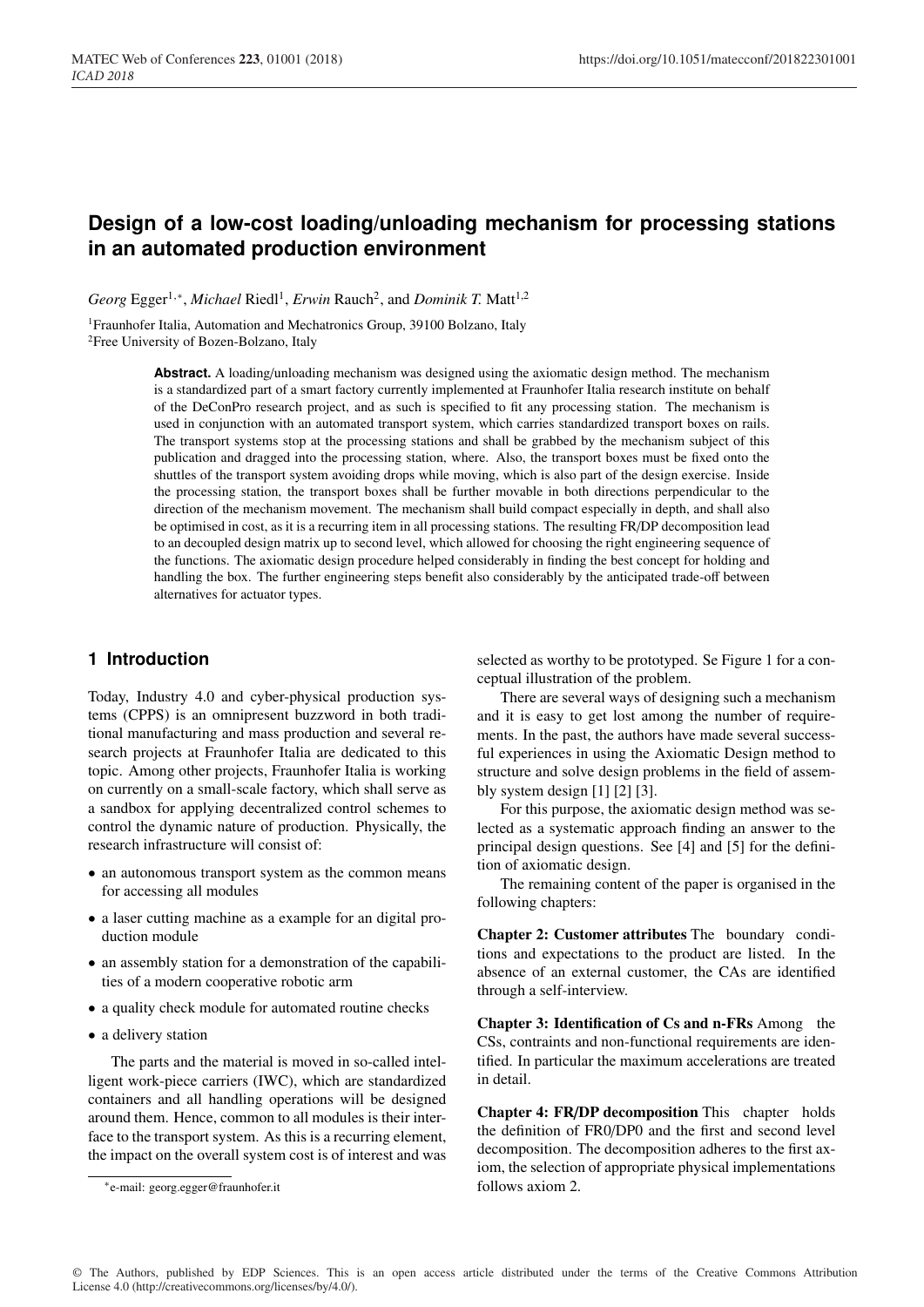# **Design of a low-cost loading/unloading mechanism for processing stations in an automated production environment**

*Georg* Egger<sup>1,∗</sup>, *Michael* Riedl<sup>1</sup>, *Erwin* Rauch<sup>2</sup>, and *Dominik T.* Matt<sup>1,2</sup>

<sup>1</sup>Fraunhofer Italia, Automation and Mechatronics Group, 39100 Bolzano, Italy 2Free University of Bozen-Bolzano, Italy

> **Abstract.** A loading/unloading mechanism was designed using the axiomatic design method. The mechanism is a standardized part of a smart factory currently implemented at Fraunhofer Italia research institute on behalf of the DeConPro research project, and as such is specified to fit any processing station. The mechanism is used in conjunction with an automated transport system, which carries standardized transport boxes on rails. The transport systems stop at the processing stations and shall be grabbed by the mechanism subject of this publication and dragged into the processing station, where. Also, the transport boxes must be fixed onto the shuttles of the transport system avoiding drops while moving, which is also part of the design exercise. Inside the processing station, the transport boxes shall be further movable in both directions perpendicular to the direction of the mechanism movement. The mechanism shall build compact especially in depth, and shall also be optimised in cost, as it is a recurring item in all processing stations. The resulting FR/DP decomposition lead to an decoupled design matrix up to second level, which allowed for choosing the right engineering sequence of the functions. The axiomatic design procedure helped considerably in finding the best concept for holding and handling the box. The further engineering steps benefit also considerably by the anticipated trade-off between alternatives for actuator types.

## **1 Introduction**

Today, Industry 4.0 and cyber-physical production systems (CPPS) is an omnipresent buzzword in both traditional manufacturing and mass production and several research projects at Fraunhofer Italia are dedicated to this topic. Among other projects, Fraunhofer Italia is working on currently on a small-scale factory, which shall serve as a sandbox for applying decentralized control schemes to control the dynamic nature of production. Physically, the research infrastructure will consist of:

- an autonomous transport system as the common means for accessing all modules
- a laser cutting machine as a example for an digital production module
- an assembly station for a demonstration of the capabilities of a modern cooperative robotic arm
- a quality check module for automated routine checks
- a delivery station

The parts and the material is moved in so-called intelligent work-piece carriers (IWC), which are standardized containers and all handling operations will be designed around them. Hence, common to all modules is their interface to the transport system. As this is a recurring element, the impact on the overall system cost is of interest and was selected as worthy to be prototyped. Se Figure 1 for a conceptual illustration of the problem.

There are several ways of designing such a mechanism and it is easy to get lost among the number of requirements. In the past, the authors have made several successful experiences in using the Axiomatic Design method to structure and solve design problems in the field of assembly system design [1] [2] [3].

For this purpose, the axiomatic design method was selected as a systematic approach finding an answer to the principal design questions. See [4] and [5] for the definition of axiomatic design.

The remaining content of the paper is organised in the following chapters:

Chapter 2: Customer attributes The boundary conditions and expectations to the product are listed. In the absence of an external customer, the CAs are identified through a self-interview.

Chapter 3: Identification of Cs and n-FRs Among the CSs, contraints and non-functional requirements are identified. In particular the maximum accelerations are treated in detail.

Chapter 4: FR/DP decomposition This chapter holds the definition of FR0/DP0 and the first and second level decomposition. The decomposition adheres to the first axiom, the selection of appropriate physical implementations follows axiom 2.

<sup>∗</sup>e-mail: georg.egger@fraunhofer.it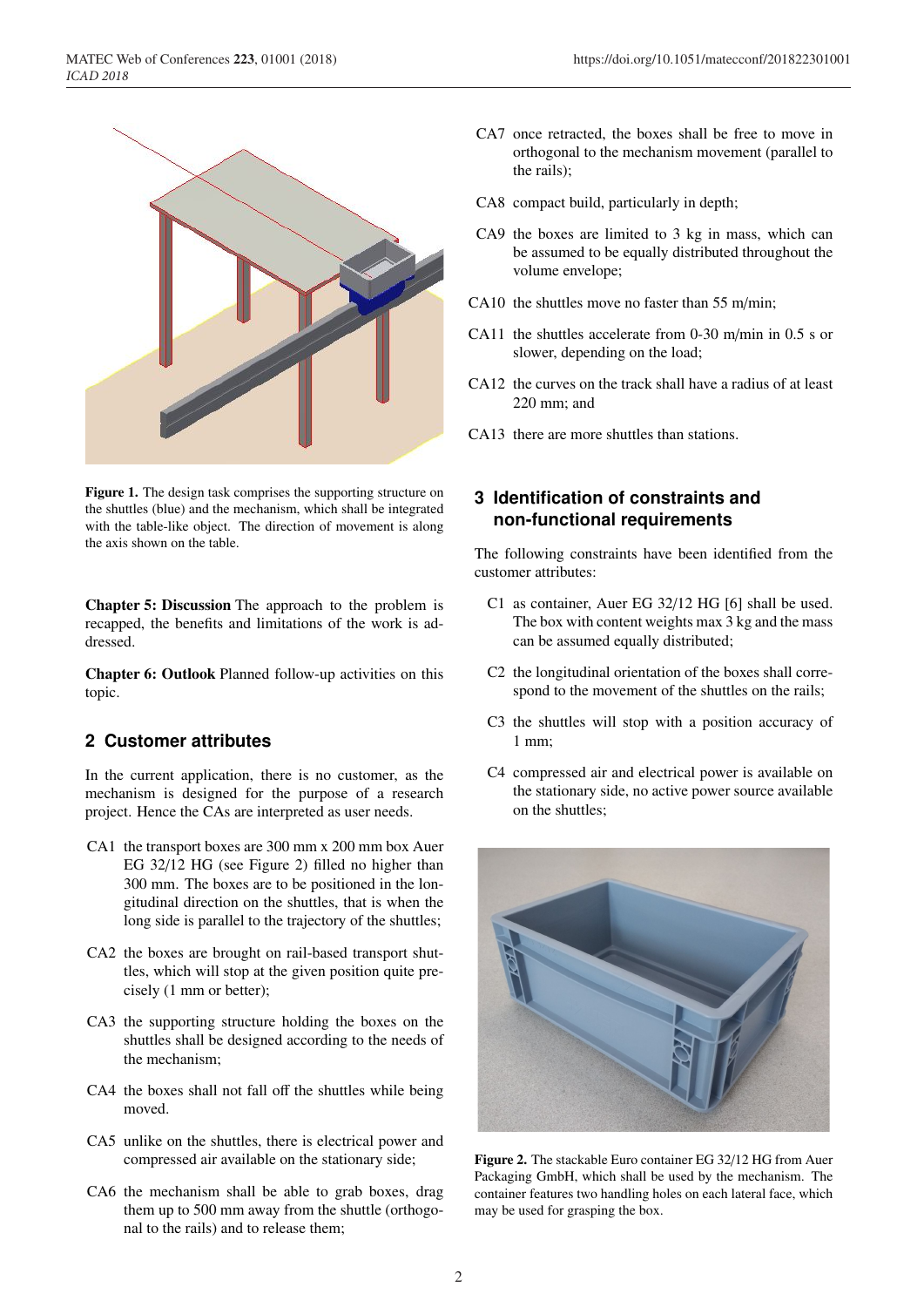

Figure 1. The design task comprises the supporting structure on the shuttles (blue) and the mechanism, which shall be integrated with the table-like object. The direction of movement is along the axis shown on the table.

Chapter 5: Discussion The approach to the problem is recapped, the benefits and limitations of the work is addressed.

Chapter 6: Outlook Planned follow-up activities on this topic.

## **2 Customer attributes**

In the current application, there is no customer, as the mechanism is designed for the purpose of a research project. Hence the CAs are interpreted as user needs.

- CA1 the transport boxes are 300 mm x 200 mm box Auer EG 32/12 HG (see Figure 2) filled no higher than 300 mm. The boxes are to be positioned in the longitudinal direction on the shuttles, that is when the long side is parallel to the trajectory of the shuttles;
- CA2 the boxes are brought on rail-based transport shuttles, which will stop at the given position quite precisely (1 mm or better);
- CA3 the supporting structure holding the boxes on the shuttles shall be designed according to the needs of the mechanism;
- CA4 the boxes shall not fall off the shuttles while being moved.
- CA5 unlike on the shuttles, there is electrical power and compressed air available on the stationary side;
- CA6 the mechanism shall be able to grab boxes, drag them up to 500 mm away from the shuttle (orthogonal to the rails) and to release them;
- CA7 once retracted, the boxes shall be free to move in orthogonal to the mechanism movement (parallel to the rails);
- CA8 compact build, particularly in depth;
- CA9 the boxes are limited to 3 kg in mass, which can be assumed to be equally distributed throughout the volume envelope;
- CA10 the shuttles move no faster than 55 m/min;
- CA11 the shuttles accelerate from 0-30 m/min in 0.5 s or slower, depending on the load;
- CA12 the curves on the track shall have a radius of at least 220 mm; and
- CA13 there are more shuttles than stations.

## **3 Identification of constraints and non-functional requirements**

The following constraints have been identified from the customer attributes:

- C1 as container, Auer EG 32/12 HG [6] shall be used. The box with content weights max 3 kg and the mass can be assumed equally distributed;
- C2 the longitudinal orientation of the boxes shall correspond to the movement of the shuttles on the rails;
- C3 the shuttles will stop with a position accuracy of 1 mm;
- C4 compressed air and electrical power is available on the stationary side, no active power source available on the shuttles;



Figure 2. The stackable Euro container EG 32/12 HG from Auer Packaging GmbH, which shall be used by the mechanism. The container features two handling holes on each lateral face, which may be used for grasping the box.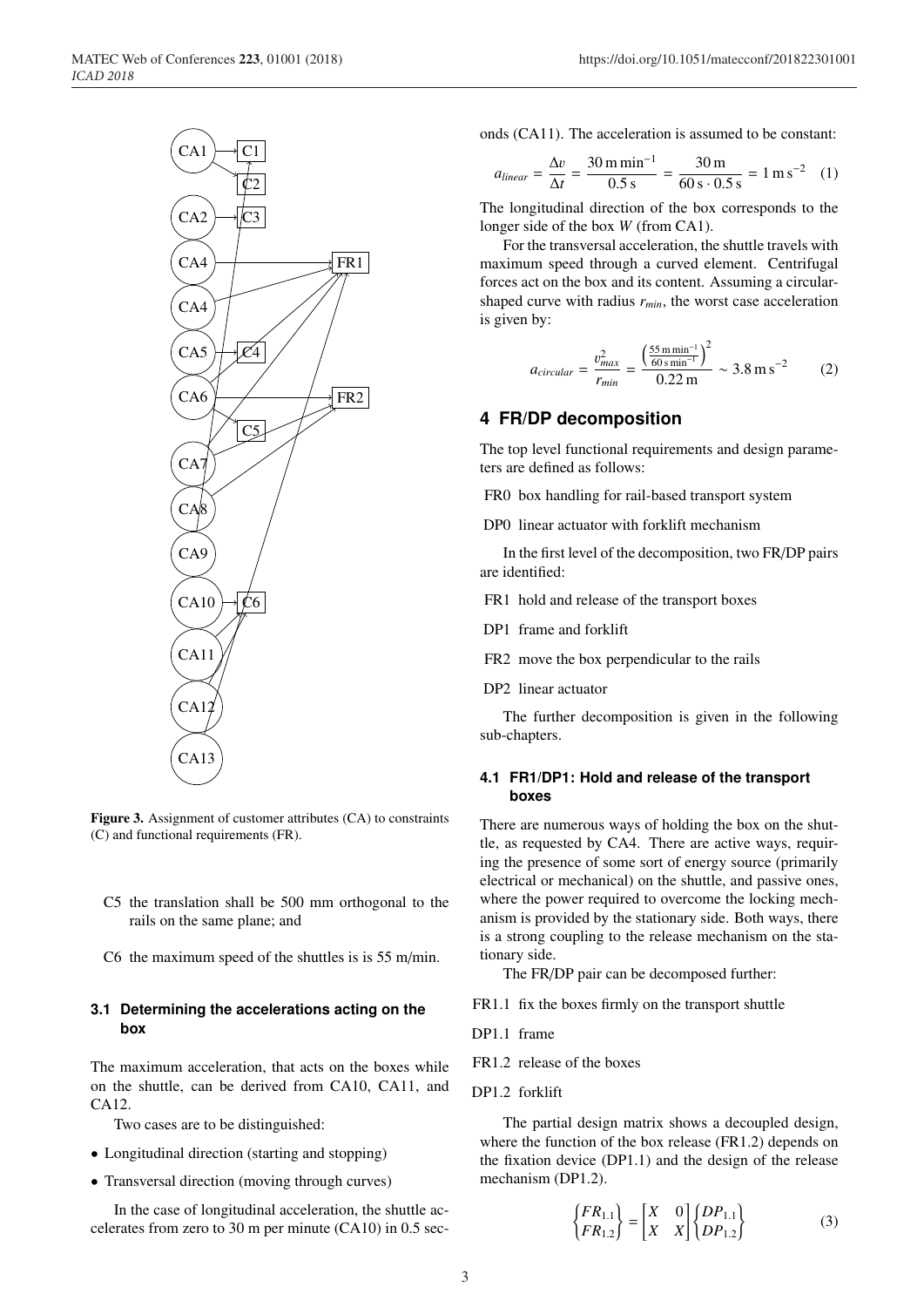

Figure 3. Assignment of customer attributes (CA) to constraints (C) and functional requirements (FR).

- C5 the translation shall be 500 mm orthogonal to the rails on the same plane; and
- C6 the maximum speed of the shuttles is is 55 m/min.

### **3.1 Determining the accelerations acting on the box**

The maximum acceleration, that acts on the boxes while on the shuttle, can be derived from CA10, CA11, and CA12.

Two cases are to be distinguished:

- Longitudinal direction (starting and stopping)
- Transversal direction (moving through curves)

In the case of longitudinal acceleration, the shuttle accelerates from zero to 30 m per minute (CA10) in 0.5 seconds (CA11). The acceleration is assumed to be constant:

$$
a_{linear} = \frac{\Delta v}{\Delta t} = \frac{30 \text{ m min}^{-1}}{0.5 \text{ s}} = \frac{30 \text{ m}}{60 \text{ s} \cdot 0.5 \text{ s}} = 1 \text{ m s}^{-2} \quad (1)
$$

The longitudinal direction of the box corresponds to the longer side of the box *W* (from CA1).

For the transversal acceleration, the shuttle travels with maximum speed through a curved element. Centrifugal forces act on the box and its content. Assuming a circularshaped curve with radius  $r_{min}$ , the worst case acceleration is given by:

$$
a_{circular} = \frac{v_{max}^2}{r_{min}} = \frac{\left(\frac{55 \text{ m min}^{-1}}{60 \text{ s min}^{-1}}\right)^2}{0.22 \text{ m}} \sim 3.8 \text{ m s}^{-2} \tag{2}
$$

### **4 FR/DP decomposition**

The top level functional requirements and design parameters are defined as follows:

- FR0 box handling for rail-based transport system
- DP0 linear actuator with forklift mechanism

In the first level of the decomposition, two FR/DP pairs are identified:

- FR1 hold and release of the transport boxes
- DP1 frame and forklift
- FR2 move the box perpendicular to the rails
- DP2 linear actuator

The further decomposition is given in the following sub-chapters.

### **4.1 FR1/DP1: Hold and release of the transport boxes**

There are numerous ways of holding the box on the shuttle, as requested by CA4. There are active ways, requiring the presence of some sort of energy source (primarily electrical or mechanical) on the shuttle, and passive ones, where the power required to overcome the locking mechanism is provided by the stationary side. Both ways, there is a strong coupling to the release mechanism on the stationary side.

The FR/DP pair can be decomposed further:

- FR1.1 fix the boxes firmly on the transport shuttle
- DP1.1 frame
- FR1.2 release of the boxes
- DP1.2 forklift

The partial design matrix shows a decoupled design, where the function of the box release (FR1.2) depends on the fixation device (DP1.1) and the design of the release mechanism (DP1.2).

$$
\begin{Bmatrix} FR_{1.1} \\ FR_{1.2} \end{Bmatrix} = \begin{bmatrix} X & 0 \\ X & X \end{bmatrix} \begin{Bmatrix} DP_{1.1} \\ DP_{1.2} \end{Bmatrix}
$$
 (3)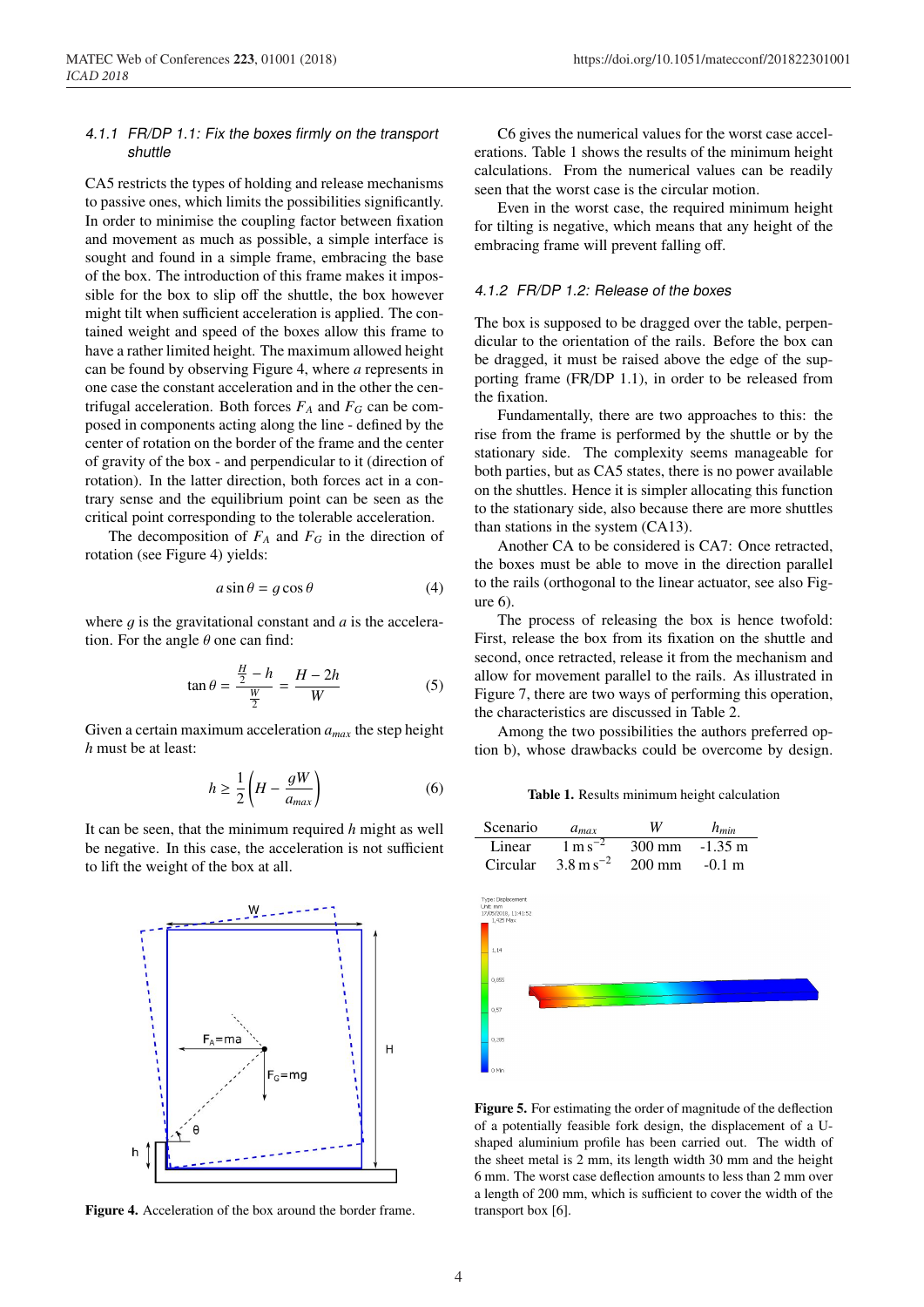### *4.1.1 FR/DP 1.1: Fix the boxes firmly on the transport shuttle*

CA5 restricts the types of holding and release mechanisms to passive ones, which limits the possibilities significantly. In order to minimise the coupling factor between fixation and movement as much as possible, a simple interface is sought and found in a simple frame, embracing the base of the box. The introduction of this frame makes it impossible for the box to slip off the shuttle, the box however might tilt when sufficient acceleration is applied. The contained weight and speed of the boxes allow this frame to have a rather limited height. The maximum allowed height can be found by observing Figure 4, where *a* represents in one case the constant acceleration and in the other the centrifugal acceleration. Both forces  $F_A$  and  $F_G$  can be composed in components acting along the line - defined by the center of rotation on the border of the frame and the center of gravity of the box - and perpendicular to it (direction of rotation). In the latter direction, both forces act in a contrary sense and the equilibrium point can be seen as the critical point corresponding to the tolerable acceleration.

The decomposition of  $F_A$  and  $F_G$  in the direction of rotation (see Figure 4) yields:

$$
a\sin\theta = g\cos\theta\tag{4}
$$

where  $q$  is the gravitational constant and  $q$  is the acceleration. For the angle  $\theta$  one can find:

$$
\tan \theta = \frac{\frac{H}{2} - h}{\frac{W}{2}} = \frac{H - 2h}{W} \tag{5}
$$

Given a certain maximum acceleration *amax* the step height *h* must be at least:

$$
h \ge \frac{1}{2} \left( H - \frac{gW}{a_{max}} \right) \tag{6}
$$

It can be seen, that the minimum required *h* might as well be negative. In this case, the acceleration is not sufficient to lift the weight of the box at all.



Figure 4. Acceleration of the box around the border frame.

C6 gives the numerical values for the worst case accelerations. Table 1 shows the results of the minimum height calculations. From the numerical values can be readily seen that the worst case is the circular motion.

Even in the worst case, the required minimum height for tilting is negative, which means that any height of the embracing frame will prevent falling off.

#### *4.1.2 FR/DP 1.2: Release of the boxes*

The box is supposed to be dragged over the table, perpendicular to the orientation of the rails. Before the box can be dragged, it must be raised above the edge of the supporting frame (FR/DP 1.1), in order to be released from the fixation.

Fundamentally, there are two approaches to this: the rise from the frame is performed by the shuttle or by the stationary side. The complexity seems manageable for both parties, but as CA5 states, there is no power available on the shuttles. Hence it is simpler allocating this function to the stationary side, also because there are more shuttles than stations in the system (CA13).

Another CA to be considered is CA7: Once retracted, the boxes must be able to move in the direction parallel to the rails (orthogonal to the linear actuator, see also Figure 6).

The process of releasing the box is hence twofold: First, release the box from its fixation on the shuttle and second, once retracted, release it from the mechanism and allow for movement parallel to the rails. As illustrated in Figure 7, there are two ways of performing this operation, the characteristics are discussed in Table 2.

Among the two possibilities the authors preferred option b), whose drawbacks could be overcome by design.

Table 1. Results minimum height calculation



Figure 5. For estimating the order of magnitude of the deflection of a potentially feasible fork design, the displacement of a Ushaped aluminium profile has been carried out. The width of the sheet metal is 2 mm, its length width 30 mm and the height 6 mm. The worst case deflection amounts to less than 2 mm over a length of 200 mm, which is sufficient to cover the width of the transport box [6].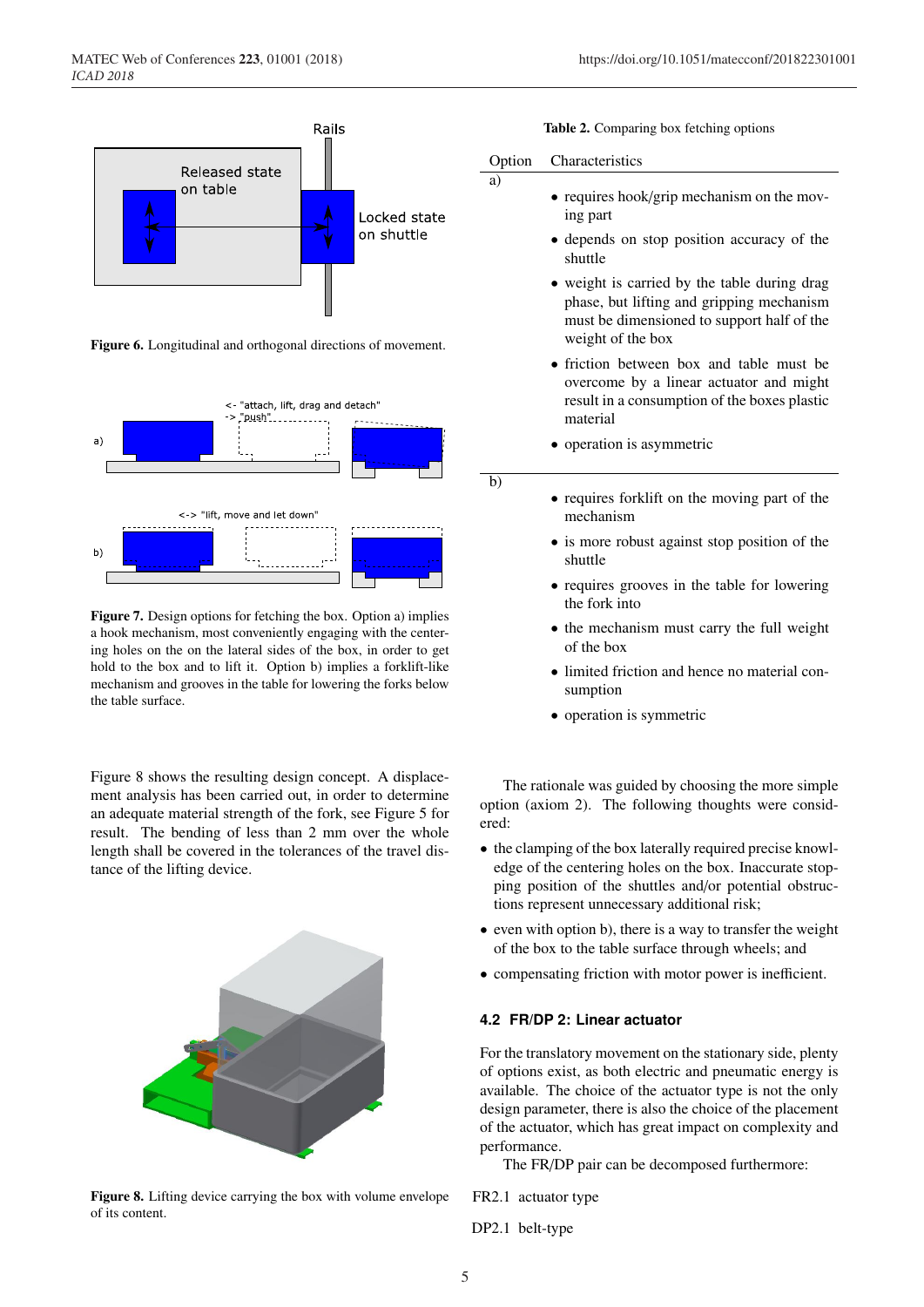

Figure 6. Longitudinal and orthogonal directions of movement.



Figure 7. Design options for fetching the box. Option a) implies a hook mechanism, most conveniently engaging with the centering holes on the on the lateral sides of the box, in order to get hold to the box and to lift it. Option b) implies a forklift-like mechanism and grooves in the table for lowering the forks below the table surface.

Figure 8 shows the resulting design concept. A displacement analysis has been carried out, in order to determine an adequate material strength of the fork, see Figure 5 for result. The bending of less than 2 mm over the whole length shall be covered in the tolerances of the travel distance of the lifting device.



Figure 8. Lifting device carrying the box with volume envelope of its content.

#### Table 2. Comparing box fetching options

|    | Option Characteristics                                 |
|----|--------------------------------------------------------|
| a) |                                                        |
|    | • requires hook/grip mechanism on the mov-<br>ing part |
|    |                                                        |

- depends on stop position accuracy of the shuttle
- weight is carried by the table during drag phase, but lifting and gripping mechanism must be dimensioned to support half of the weight of the box
- friction between box and table must be overcome by a linear actuator and might result in a consumption of the boxes plastic material
- operation is asymmetric

b)

- requires forklift on the moving part of the mechanism
- is more robust against stop position of the shuttle
- requires grooves in the table for lowering the fork into
- the mechanism must carry the full weight of the box
- limited friction and hence no material consumption
- operation is symmetric

The rationale was guided by choosing the more simple option (axiom 2). The following thoughts were considered:

- the clamping of the box laterally required precise knowledge of the centering holes on the box. Inaccurate stopping position of the shuttles and/or potential obstructions represent unnecessary additional risk;
- even with option b), there is a way to transfer the weight of the box to the table surface through wheels; and
- compensating friction with motor power is inefficient.

### **4.2 FR/DP 2: Linear actuator**

For the translatory movement on the stationary side, plenty of options exist, as both electric and pneumatic energy is available. The choice of the actuator type is not the only design parameter, there is also the choice of the placement of the actuator, which has great impact on complexity and performance.

The FR/DP pair can be decomposed furthermore:

FR2.1 actuator type

```
DP2.1 belt-type
```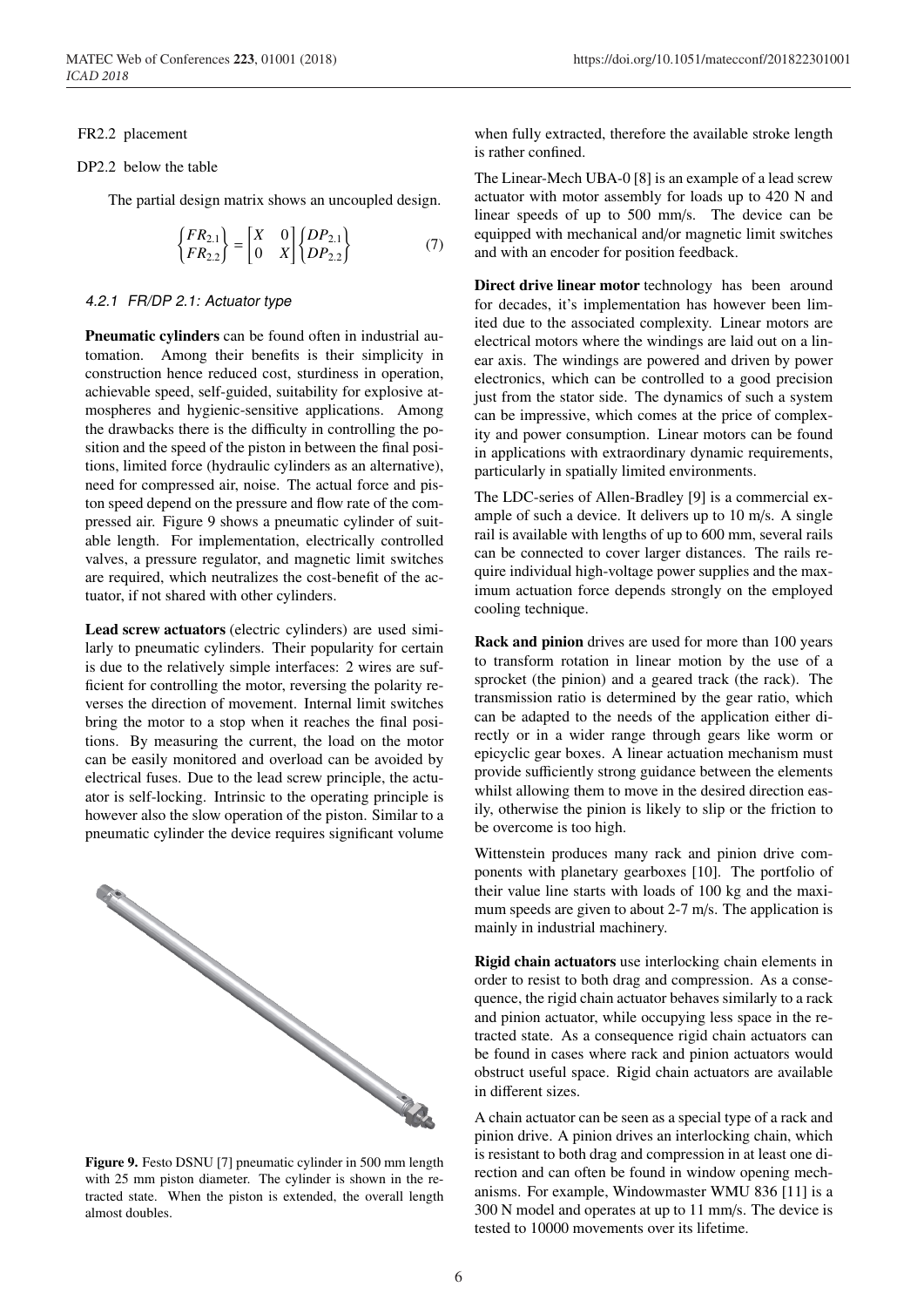#### FR2.2 placement

#### DP2.2 below the table

The partial design matrix shows an uncoupled design.

$$
\begin{Bmatrix} FR_{2.1} \ R_{2.2} \end{Bmatrix} = \begin{bmatrix} X & 0 \\ 0 & X \end{bmatrix} \begin{Bmatrix} DP_{2.1} \\ DP_{2.2} \end{Bmatrix}
$$
 (7)

### *4.2.1 FR/DP 2.1: Actuator type*

Pneumatic cylinders can be found often in industrial automation. Among their benefits is their simplicity in construction hence reduced cost, sturdiness in operation, achievable speed, self-guided, suitability for explosive atmospheres and hygienic-sensitive applications. Among the drawbacks there is the difficulty in controlling the position and the speed of the piston in between the final positions, limited force (hydraulic cylinders as an alternative), need for compressed air, noise. The actual force and piston speed depend on the pressure and flow rate of the compressed air. Figure 9 shows a pneumatic cylinder of suitable length. For implementation, electrically controlled valves, a pressure regulator, and magnetic limit switches are required, which neutralizes the cost-benefit of the actuator, if not shared with other cylinders.

Lead screw actuators (electric cylinders) are used similarly to pneumatic cylinders. Their popularity for certain is due to the relatively simple interfaces: 2 wires are sufficient for controlling the motor, reversing the polarity reverses the direction of movement. Internal limit switches bring the motor to a stop when it reaches the final positions. By measuring the current, the load on the motor can be easily monitored and overload can be avoided by electrical fuses. Due to the lead screw principle, the actuator is self-locking. Intrinsic to the operating principle is however also the slow operation of the piston. Similar to a pneumatic cylinder the device requires significant volume



with 25 mm piston diameter. The cylinder is shown in the retracted state. When the piston is extended, the overall length almost doubles.

when fully extracted, therefore the available stroke length is rather confined.

The Linear-Mech UBA-0 [8] is an example of a lead screw actuator with motor assembly for loads up to 420 N and linear speeds of up to 500 mm/s. The device can be equipped with mechanical and/or magnetic limit switches and with an encoder for position feedback.

Direct drive linear motor technology has been around for decades, it's implementation has however been limited due to the associated complexity. Linear motors are electrical motors where the windings are laid out on a linear axis. The windings are powered and driven by power electronics, which can be controlled to a good precision just from the stator side. The dynamics of such a system can be impressive, which comes at the price of complexity and power consumption. Linear motors can be found in applications with extraordinary dynamic requirements, particularly in spatially limited environments.

The LDC-series of Allen-Bradley [9] is a commercial example of such a device. It delivers up to 10 m/s. A single rail is available with lengths of up to 600 mm, several rails can be connected to cover larger distances. The rails require individual high-voltage power supplies and the maximum actuation force depends strongly on the employed cooling technique.

Rack and pinion drives are used for more than 100 years to transform rotation in linear motion by the use of a sprocket (the pinion) and a geared track (the rack). The transmission ratio is determined by the gear ratio, which can be adapted to the needs of the application either directly or in a wider range through gears like worm or epicyclic gear boxes. A linear actuation mechanism must provide sufficiently strong guidance between the elements whilst allowing them to move in the desired direction easily, otherwise the pinion is likely to slip or the friction to be overcome is too high.

Wittenstein produces many rack and pinion drive components with planetary gearboxes [10]. The portfolio of their value line starts with loads of 100 kg and the maximum speeds are given to about 2-7 m/s. The application is mainly in industrial machinery.

Rigid chain actuators use interlocking chain elements in order to resist to both drag and compression. As a consequence, the rigid chain actuator behaves similarly to a rack and pinion actuator, while occupying less space in the retracted state. As a consequence rigid chain actuators can be found in cases where rack and pinion actuators would obstruct useful space. Rigid chain actuators are available in different sizes.

A chain actuator can be seen as a special type of a rack and pinion drive. A pinion drives an interlocking chain, which is resistant to both drag and compression in at least one direction and can often be found in window opening mechanisms. For example, Windowmaster WMU 836 [11] is a 300 N model and operates at up to 11 mm/s. The device is tested to 10000 movements over its lifetime.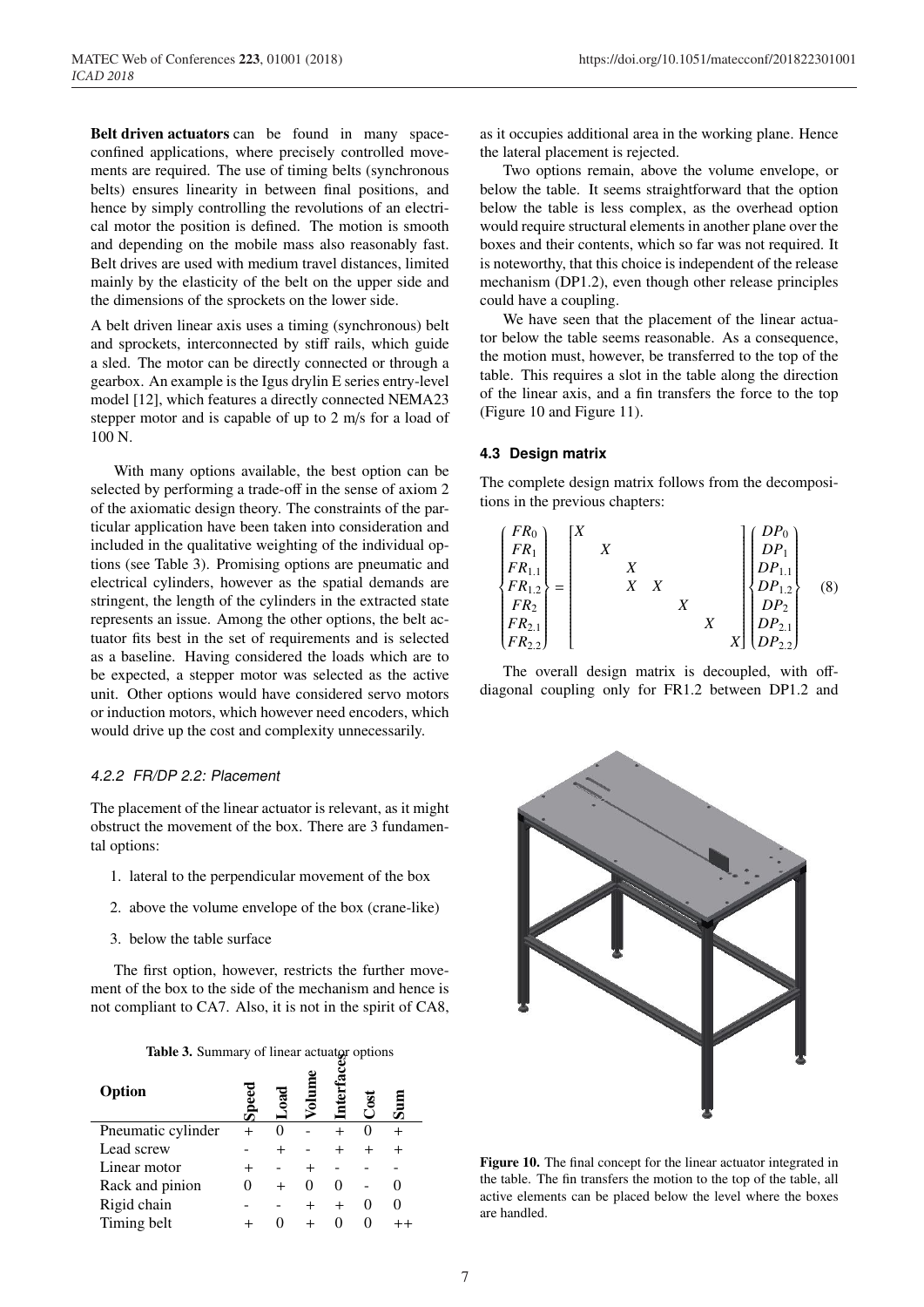Belt driven actuators can be found in many spaceconfined applications, where precisely controlled movements are required. The use of timing belts (synchronous belts) ensures linearity in between final positions, and hence by simply controlling the revolutions of an electrical motor the position is defined. The motion is smooth and depending on the mobile mass also reasonably fast. Belt drives are used with medium travel distances, limited mainly by the elasticity of the belt on the upper side and the dimensions of the sprockets on the lower side.

A belt driven linear axis uses a timing (synchronous) belt and sprockets, interconnected by stiff rails, which guide a sled. The motor can be directly connected or through a gearbox. An example is the Igus drylin E series entry-level model [12], which features a directly connected NEMA23 stepper motor and is capable of up to 2 m/s for a load of 100 N.

With many options available, the best option can be selected by performing a trade-off in the sense of axiom 2 of the axiomatic design theory. The constraints of the particular application have been taken into consideration and included in the qualitative weighting of the individual options (see Table 3). Promising options are pneumatic and electrical cylinders, however as the spatial demands are stringent, the length of the cylinders in the extracted state represents an issue. Among the other options, the belt actuator fits best in the set of requirements and is selected as a baseline. Having considered the loads which are to be expected, a stepper motor was selected as the active unit. Other options would have considered servo motors or induction motors, which however need encoders, which would drive up the cost and complexity unnecessarily.

### *4.2.2 FR/DP 2.2: Placement*

The placement of the linear actuator is relevant, as it might obstruct the movement of the box. There are 3 fundamental options:

- 1. lateral to the perpendicular movement of the box
- 2. above the volume envelope of the box (crane-like)
- 3. below the table surface

The first option, however, restricts the further movement of the box to the side of the mechanism and hence is not compliant to CA7. Also, it is not in the spirit of CA8,

|  | Table 3. Summary of linear actuator options |  |  |  |  |
|--|---------------------------------------------|--|--|--|--|
|--|---------------------------------------------|--|--|--|--|

| <b>Tuble of Building of finear actually</b> options |        |  |  |  |  |  |  |
|-----------------------------------------------------|--------|--|--|--|--|--|--|
| Option                                              | e<br>S |  |  |  |  |  |  |
| Pneumatic cylinder                                  |        |  |  |  |  |  |  |
| Lead screw                                          |        |  |  |  |  |  |  |
| Linear motor                                        |        |  |  |  |  |  |  |
| Rack and pinion                                     |        |  |  |  |  |  |  |
| Rigid chain                                         |        |  |  |  |  |  |  |
| Timing belt                                         |        |  |  |  |  |  |  |

as it occupies additional area in the working plane. Hence the lateral placement is rejected.

Two options remain, above the volume envelope, or below the table. It seems straightforward that the option below the table is less complex, as the overhead option would require structural elements in another plane over the boxes and their contents, which so far was not required. It is noteworthy, that this choice is independent of the release mechanism (DP1.2), even though other release principles could have a coupling.

We have seen that the placement of the linear actuator below the table seems reasonable. As a consequence, the motion must, however, be transferred to the top of the table. This requires a slot in the table along the direction of the linear axis, and a fin transfers the force to the top (Figure 10 and Figure 11).

#### **4.3 Design matrix**

The complete design matrix follows from the decompositions in the previous chapters:

| FR <sub>0</sub>   | Λ |   |   |   |   |  | $DP_0$            |                   |
|-------------------|---|---|---|---|---|--|-------------------|-------------------|
| FR <sub>1</sub>   |   | Χ |   |   |   |  |                   |                   |
| FR <sub>1.1</sub> |   |   |   |   |   |  | $DP_{1,1}$        |                   |
| $F_{R_{1,2}}$     |   |   | X | X |   |  | $DP_{1,2}$        | $\left( 8\right)$ |
| FR <sub>2</sub>   |   |   |   |   | Χ |  | DP <sub>2</sub>   |                   |
| FR <sub>2.1</sub> |   |   |   |   |   |  | $DP_{2.1}$        |                   |
| FR <sub>2.2</sub> |   |   |   |   |   |  | $\mathbf{v}_{22}$ |                   |

The overall design matrix is decoupled, with offdiagonal coupling only for FR1.2 between DP1.2 and



Figure 10. The final concept for the linear actuator integrated in the table. The fin transfers the motion to the top of the table, all active elements can be placed below the level where the boxes are handled.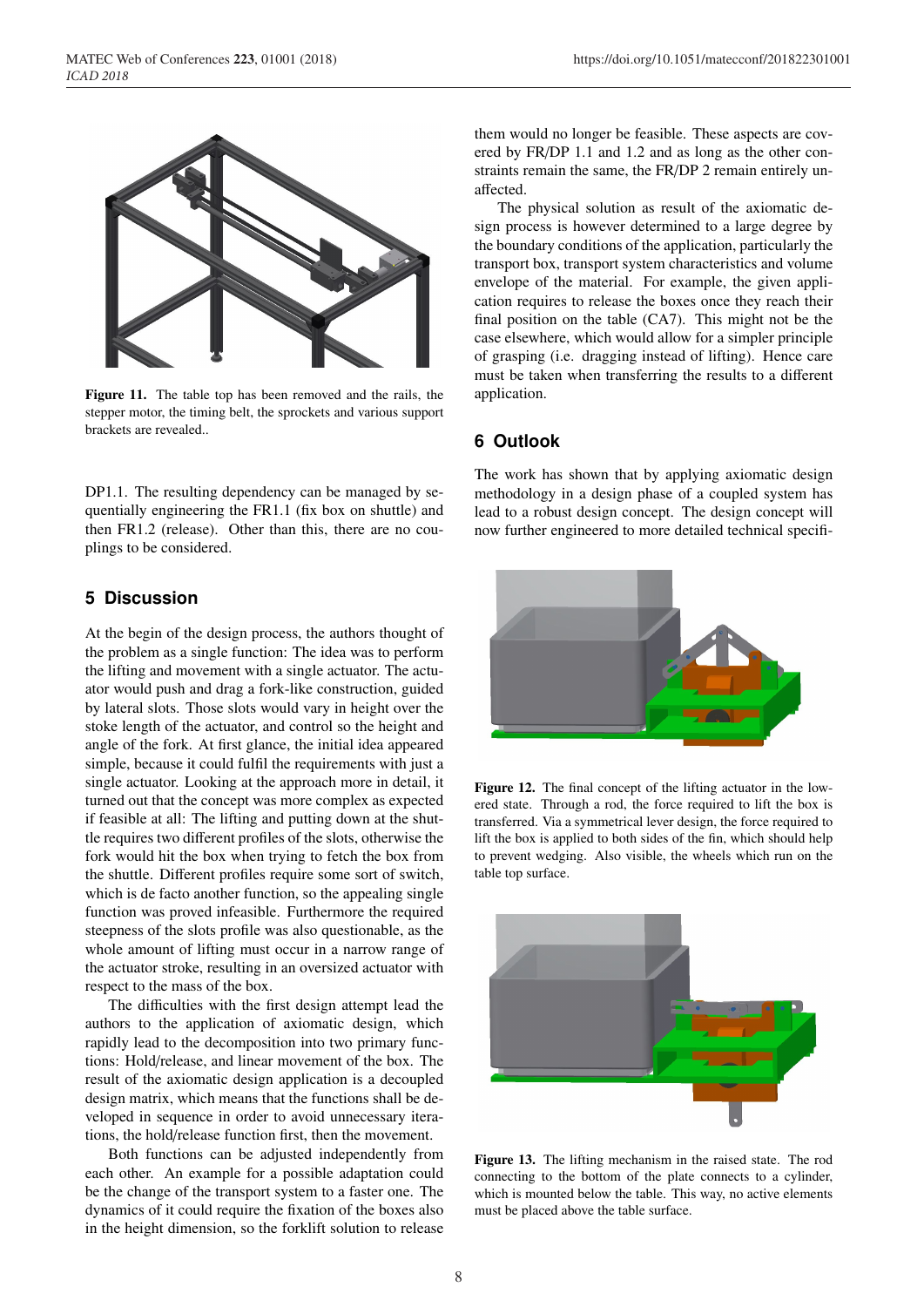

Figure 11. The table top has been removed and the rails, the stepper motor, the timing belt, the sprockets and various support brackets are revealed..

DP1.1. The resulting dependency can be managed by sequentially engineering the FR1.1 (fix box on shuttle) and then FR1.2 (release). Other than this, there are no couplings to be considered.

## **5 Discussion**

At the begin of the design process, the authors thought of the problem as a single function: The idea was to perform the lifting and movement with a single actuator. The actuator would push and drag a fork-like construction, guided by lateral slots. Those slots would vary in height over the stoke length of the actuator, and control so the height and angle of the fork. At first glance, the initial idea appeared simple, because it could fulfil the requirements with just a single actuator. Looking at the approach more in detail, it turned out that the concept was more complex as expected if feasible at all: The lifting and putting down at the shuttle requires two different profiles of the slots, otherwise the fork would hit the box when trying to fetch the box from the shuttle. Different profiles require some sort of switch, which is de facto another function, so the appealing single function was proved infeasible. Furthermore the required steepness of the slots profile was also questionable, as the whole amount of lifting must occur in a narrow range of the actuator stroke, resulting in an oversized actuator with respect to the mass of the box.

The difficulties with the first design attempt lead the authors to the application of axiomatic design, which rapidly lead to the decomposition into two primary functions: Hold/release, and linear movement of the box. The result of the axiomatic design application is a decoupled design matrix, which means that the functions shall be developed in sequence in order to avoid unnecessary iterations, the hold/release function first, then the movement.

Both functions can be adjusted independently from each other. An example for a possible adaptation could be the change of the transport system to a faster one. The dynamics of it could require the fixation of the boxes also in the height dimension, so the forklift solution to release

them would no longer be feasible. These aspects are covered by FR/DP 1.1 and 1.2 and as long as the other constraints remain the same, the FR/DP 2 remain entirely unaffected.

The physical solution as result of the axiomatic design process is however determined to a large degree by the boundary conditions of the application, particularly the transport box, transport system characteristics and volume envelope of the material. For example, the given application requires to release the boxes once they reach their final position on the table (CA7). This might not be the case elsewhere, which would allow for a simpler principle of grasping (i.e. dragging instead of lifting). Hence care must be taken when transferring the results to a different application.

## **6 Outlook**

The work has shown that by applying axiomatic design methodology in a design phase of a coupled system has lead to a robust design concept. The design concept will now further engineered to more detailed technical specifi-



Figure 12. The final concept of the lifting actuator in the lowered state. Through a rod, the force required to lift the box is transferred. Via a symmetrical lever design, the force required to lift the box is applied to both sides of the fin, which should help to prevent wedging. Also visible, the wheels which run on the table top surface.



Figure 13. The lifting mechanism in the raised state. The rod connecting to the bottom of the plate connects to a cylinder, which is mounted below the table. This way, no active elements must be placed above the table surface.